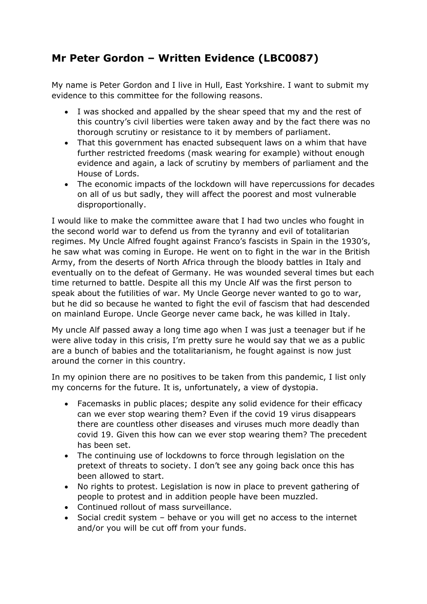## **Mr Peter Gordon – Written Evidence (LBC0087)**

My name is Peter Gordon and I live in Hull, East Yorkshire. I want to submit my evidence to this committee for the following reasons.

- I was shocked and appalled by the shear speed that my and the rest of this country's civil liberties were taken away and by the fact there was no thorough scrutiny or resistance to it by members of parliament.
- That this government has enacted subsequent laws on a whim that have further restricted freedoms (mask wearing for example) without enough evidence and again, a lack of scrutiny by members of parliament and the House of Lords.
- The economic impacts of the lockdown will have repercussions for decades on all of us but sadly, they will affect the poorest and most vulnerable disproportionally.

I would like to make the committee aware that I had two uncles who fought in the second world war to defend us from the tyranny and evil of totalitarian regimes. My Uncle Alfred fought against Franco's fascists in Spain in the 1930's, he saw what was coming in Europe. He went on to fight in the war in the British Army, from the deserts of North Africa through the bloody battles in Italy and eventually on to the defeat of Germany. He was wounded several times but each time returned to battle. Despite all this my Uncle Alf was the first person to speak about the futilities of war. My Uncle George never wanted to go to war, but he did so because he wanted to fight the evil of fascism that had descended on mainland Europe. Uncle George never came back, he was killed in Italy.

My uncle Alf passed away a long time ago when I was just a teenager but if he were alive today in this crisis, I'm pretty sure he would say that we as a public are a bunch of babies and the totalitarianism, he fought against is now just around the corner in this country.

In my opinion there are no positives to be taken from this pandemic, I list only my concerns for the future. It is, unfortunately, a view of dystopia.

- Facemasks in public places; despite any solid evidence for their efficacy can we ever stop wearing them? Even if the covid 19 virus disappears there are countless other diseases and viruses much more deadly than covid 19. Given this how can we ever stop wearing them? The precedent has been set.
- The continuing use of lockdowns to force through legislation on the pretext of threats to society. I don't see any going back once this has been allowed to start.
- No rights to protest. Legislation is now in place to prevent gathering of people to protest and in addition people have been muzzled.
- Continued rollout of mass surveillance.
- Social credit system behave or you will get no access to the internet and/or you will be cut off from your funds.